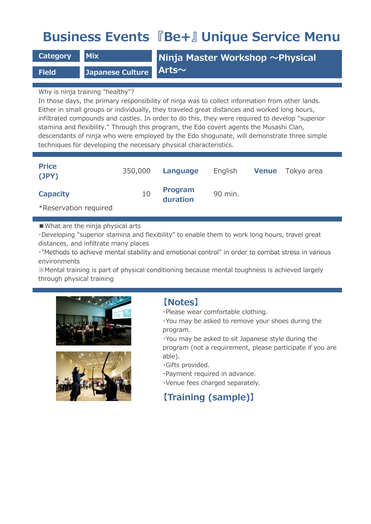## **Business Events 『Be+』 Unique Service Menu**

**Category Mix** 

**Ninja Master Workshop 〜Physical Arts〜**

Why is ninja training "healthy"?

**Field Japanese Culture**

In those days, the primary responsibility of ninja was to collect information from other lands. Either in small groups or individually, they traveled great distances and worked long hours, infiltrated compounds and castles. In order to do this, they were required to develop "superior stamina and flexibility." Through this program, the Edo covert agents the Musashi Clan, descendants of ninja who were employed by the Edo shogunate, will demonstrate three simple techniques for developing the necessary physical characteristics.

| <b>Price</b><br>(JPY) | 350,000 | Language                   | English | <b>Venue</b> | Tokyo area |
|-----------------------|---------|----------------------------|---------|--------------|------------|
| <b>Capacity</b>       | 10      | <b>Program</b><br>duration | 90 min. |              |            |
| *Reservation required |         |                            |         |              |            |

■ What are the ninja physical arts

・Developing "superior stamina and flexibility" to enable them to work long hours, travel great distances, and infiltrate many places

・"Methods to achieve mental stability and emotional control" in order to combat stress in various environments

※Mental training is part of physical conditioning because mental toughness is achieved largely through physical training





## **【Notes】**

・Please wear comfortable clothing.

・You may be asked to remove your shoes during the program.

・You may be asked to sit Japanese style during the program (not a requirement, please participate if you are able).

- ・Gifts provided.
- ・Payment required in advance.
- ・Venue fees charged separately.

## **【Training (sample)】**